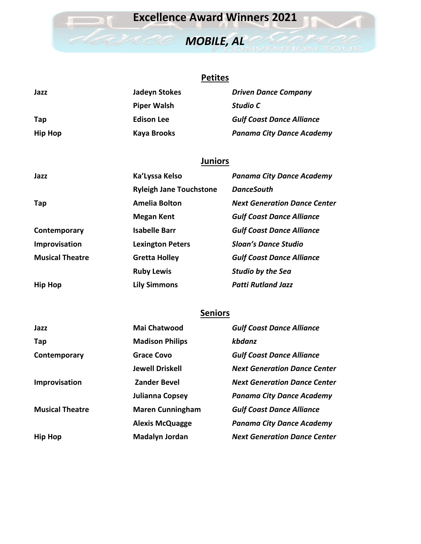## **Excellence Award Winners 2021**

# *MOBILE, AL*

#### **Petites**

| Jazz           | Jadeyn Stokes      | <b>Driven Dance Company</b>      |
|----------------|--------------------|----------------------------------|
|                | <b>Piper Walsh</b> | Studio C                         |
| Tap            | <b>Edison Lee</b>  | <b>Gulf Coast Dance Alliance</b> |
| <b>Hip Hop</b> | Kaya Brooks        | <b>Panama City Dance Academy</b> |

#### **Juniors**

| Jazz                   | Ka'Lyssa Kelso                 | <b>Panama City Dance Academy</b>    |
|------------------------|--------------------------------|-------------------------------------|
|                        | <b>Ryleigh Jane Touchstone</b> | <b>DanceSouth</b>                   |
| Tap                    | Amelia Bolton                  | <b>Next Generation Dance Center</b> |
|                        | <b>Megan Kent</b>              | <b>Gulf Coast Dance Alliance</b>    |
| Contemporary           | <b>Isabelle Barr</b>           | <b>Gulf Coast Dance Alliance</b>    |
| Improvisation          | <b>Lexington Peters</b>        | <b>Sloan's Dance Studio</b>         |
| <b>Musical Theatre</b> | <b>Gretta Holley</b>           | <b>Gulf Coast Dance Alliance</b>    |
|                        | <b>Ruby Lewis</b>              | <b>Studio by the Sea</b>            |
| <b>Hip Hop</b>         | Lily Simmons                   | <b>Patti Rutland Jazz</b>           |

#### **Seniors**

| Jazz                   | <b>Mai Chatwood</b>     | <b>Gulf Coast Dance Alliance</b>    |
|------------------------|-------------------------|-------------------------------------|
| Tap                    | <b>Madison Philips</b>  | kbdanz                              |
| Contemporary           | Grace Covo              | <b>Gulf Coast Dance Alliance</b>    |
|                        | <b>Jewell Driskell</b>  | <b>Next Generation Dance Center</b> |
| Improvisation          | <b>Zander Bevel</b>     | <b>Next Generation Dance Center</b> |
|                        | Julianna Copsey         | <b>Panama City Dance Academy</b>    |
| <b>Musical Theatre</b> | <b>Maren Cunningham</b> | <b>Gulf Coast Dance Alliance</b>    |
|                        | <b>Alexis McQuagge</b>  | <b>Panama City Dance Academy</b>    |
| <b>Hip Hop</b>         | <b>Madalyn Jordan</b>   | <b>Next Generation Dance Center</b> |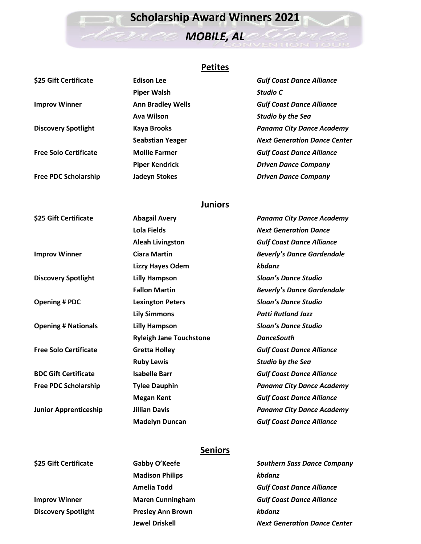# **Scholarship Award Winners 2021**

# *MOBILE, AL*

## **Petites**

| \$25 Gift Certificate        | <b>Edison Lee</b>        | <b>Gulf Coast Dance Alliance</b>    |
|------------------------------|--------------------------|-------------------------------------|
|                              | <b>Piper Walsh</b>       | Studio C                            |
| <b>Improv Winner</b>         | <b>Ann Bradley Wells</b> | <b>Gulf Coast Dance Alliance</b>    |
|                              | Ava Wilson               | <b>Studio by the Sea</b>            |
| <b>Discovery Spotlight</b>   | <b>Kaya Brooks</b>       | <b>Panama City Dance Academy</b>    |
|                              | <b>Seabstian Yeager</b>  | <b>Next Generation Dance Center</b> |
| <b>Free Solo Certificate</b> | <b>Mollie Farmer</b>     | <b>Gulf Coast Dance Alliance</b>    |
|                              | <b>Piper Kendrick</b>    | <b>Driven Dance Company</b>         |
| <b>Free PDC Scholarship</b>  | Jadeyn Stokes            | <b>Driven Dance Company</b>         |
|                              |                          |                                     |

## **Juniors**

| \$25 Gift Certificate        | <b>Abagail Avery</b>           | <b>Panama City Dance Academy</b>  |
|------------------------------|--------------------------------|-----------------------------------|
|                              | <b>Lola Fields</b>             | <b>Next Generation Dance</b>      |
|                              | <b>Aleah Livingston</b>        | <b>Gulf Coast Dance Alliance</b>  |
| <b>Improv Winner</b>         | <b>Ciara Martin</b>            | <b>Beverly's Dance Gardendale</b> |
|                              | <b>Lizzy Hayes Odem</b>        | kbdanz                            |
| <b>Discovery Spotlight</b>   | <b>Lilly Hampson</b>           | <b>Sloan's Dance Studio</b>       |
|                              | <b>Fallon Martin</b>           | <b>Beverly's Dance Gardendale</b> |
| <b>Opening # PDC</b>         | <b>Lexington Peters</b>        | <b>Sloan's Dance Studio</b>       |
|                              | <b>Lily Simmons</b>            | <b>Patti Rutland Jazz</b>         |
| <b>Opening # Nationals</b>   | <b>Lilly Hampson</b>           | <b>Sloan's Dance Studio</b>       |
|                              | <b>Ryleigh Jane Touchstone</b> | <b>DanceSouth</b>                 |
| <b>Free Solo Certificate</b> | <b>Gretta Holley</b>           | <b>Gulf Coast Dance Alliance</b>  |
|                              | <b>Ruby Lewis</b>              | <b>Studio by the Sea</b>          |
| <b>BDC Gift Certificate</b>  | <b>Isabelle Barr</b>           | <b>Gulf Coast Dance Alliance</b>  |
| <b>Free PDC Scholarship</b>  | <b>Tylee Dauphin</b>           | <b>Panama City Dance Academy</b>  |
|                              | <b>Megan Kent</b>              | <b>Gulf Coast Dance Alliance</b>  |
| <b>Junior Apprenticeship</b> | <b>Jillian Davis</b>           | <b>Panama City Dance Academy</b>  |
|                              | <b>Madelyn Duncan</b>          | <b>Gulf Coast Dance Alliance</b>  |

## **Seniors**

| \$25 Gift Certificate      | Gabby O'Keefe            | <b>Southern Sass Dance Company</b>  |
|----------------------------|--------------------------|-------------------------------------|
|                            | <b>Madison Philips</b>   | kbdanz                              |
|                            | Amelia Todd              | <b>Gulf Coast Dance Alliance</b>    |
| <b>Improv Winner</b>       | <b>Maren Cunningham</b>  | <b>Gulf Coast Dance Alliance</b>    |
| <b>Discovery Spotlight</b> | <b>Presley Ann Brown</b> | kbdanz                              |
|                            | <b>Jewel Driskell</b>    | <b>Next Generation Dance Center</b> |